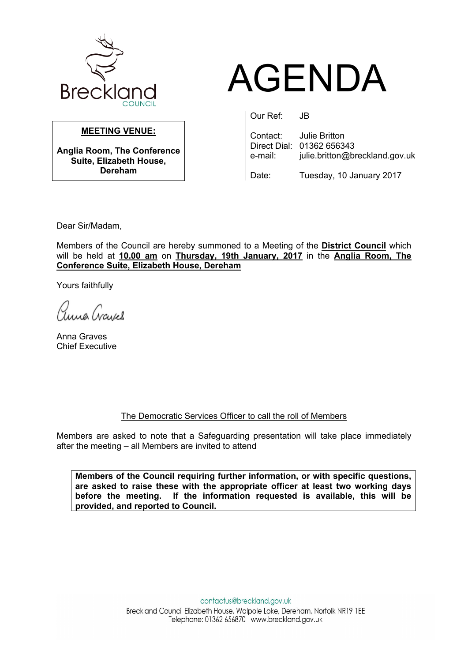

# AGENDA

# **MEETING VENUE:**

**Anglia Room, The Conference Suite, Elizabeth House, Dereham**

Our Ref: JB

Contact: Julie Britton Direct Dial: 01362 656343

e-mail: julie.britton@breckland.gov.uk

Date: Tuesday, 10 January 2017

Dear Sir/Madam,

Members of the Council are hereby summoned to a Meeting of the **District Council** which will be held at **10.00 am** on **Thursday, 19th January, 2017** in the **Anglia Room, The Conference Suite, Elizabeth House, Dereham**

Yours faithfully

anna Crayel

Anna Graves Chief Executive

# The Democratic Services Officer to call the roll of Members

Members are asked to note that a Safeguarding presentation will take place immediately after the meeting – all Members are invited to attend

**Members of the Council requiring further information, or with specific questions, are asked to raise these with the appropriate officer at least two working days before the meeting. If the information requested is available, this will be provided, and reported to Council.**

> contactus@breckland.gov.uk Breckland Council Elizabeth House, Walpole Loke, Dereham, Norfolk NR19 1EE Telephone: 01362 656870 www.breckland.gov.uk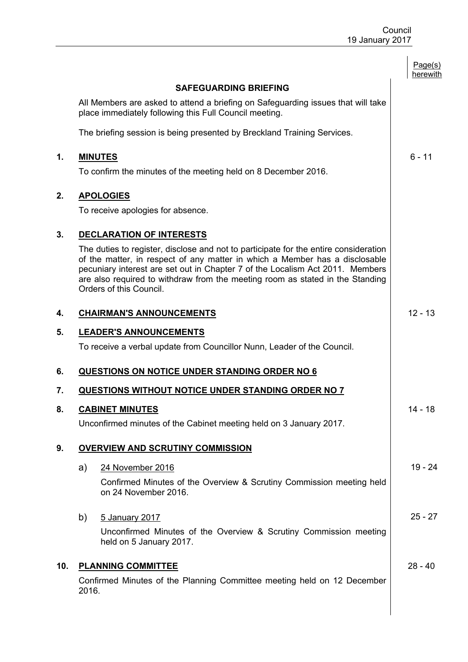|     |                                                                                                                                                                                                                                                                                                                                                                  | Page(s)<br>herewith |
|-----|------------------------------------------------------------------------------------------------------------------------------------------------------------------------------------------------------------------------------------------------------------------------------------------------------------------------------------------------------------------|---------------------|
|     | <b>SAFEGUARDING BRIEFING</b>                                                                                                                                                                                                                                                                                                                                     |                     |
|     | All Members are asked to attend a briefing on Safeguarding issues that will take<br>place immediately following this Full Council meeting.                                                                                                                                                                                                                       |                     |
|     | The briefing session is being presented by Breckland Training Services.                                                                                                                                                                                                                                                                                          |                     |
| 1.  | <b>MINUTES</b>                                                                                                                                                                                                                                                                                                                                                   | $6 - 11$            |
|     | To confirm the minutes of the meeting held on 8 December 2016.                                                                                                                                                                                                                                                                                                   |                     |
| 2.  | <b>APOLOGIES</b>                                                                                                                                                                                                                                                                                                                                                 |                     |
|     | To receive apologies for absence.                                                                                                                                                                                                                                                                                                                                |                     |
| 3.  | DECLARATION OF INTERESTS                                                                                                                                                                                                                                                                                                                                         |                     |
|     | The duties to register, disclose and not to participate for the entire consideration<br>of the matter, in respect of any matter in which a Member has a disclosable<br>pecuniary interest are set out in Chapter 7 of the Localism Act 2011. Members<br>are also required to withdraw from the meeting room as stated in the Standing<br>Orders of this Council. |                     |
| 4.  | <b>CHAIRMAN'S ANNOUNCEMENTS</b>                                                                                                                                                                                                                                                                                                                                  | $12 - 13$           |
| 5.  | <b>LEADER'S ANNOUNCEMENTS</b>                                                                                                                                                                                                                                                                                                                                    |                     |
|     | To receive a verbal update from Councillor Nunn, Leader of the Council.                                                                                                                                                                                                                                                                                          |                     |
| 6.  | <b>QUESTIONS ON NOTICE UNDER STANDING ORDER NO 6</b>                                                                                                                                                                                                                                                                                                             |                     |
| 7.  | QUESTIONS WITHOUT NOTICE UNDER STANDING ORDER NO 7                                                                                                                                                                                                                                                                                                               |                     |
| 8.  | <b>CABINET MINUTES</b>                                                                                                                                                                                                                                                                                                                                           | 14 - 18             |
|     | Unconfirmed minutes of the Cabinet meeting held on 3 January 2017.                                                                                                                                                                                                                                                                                               |                     |
| 9.  | <b>OVERVIEW AND SCRUTINY COMMISSION</b>                                                                                                                                                                                                                                                                                                                          |                     |
|     | 24 November 2016<br>a)                                                                                                                                                                                                                                                                                                                                           | 19 - 24             |
|     | Confirmed Minutes of the Overview & Scrutiny Commission meeting held<br>on 24 November 2016.                                                                                                                                                                                                                                                                     |                     |
|     | b)<br>5 January 2017                                                                                                                                                                                                                                                                                                                                             | $25 - 27$           |
|     | Unconfirmed Minutes of the Overview & Scrutiny Commission meeting<br>held on 5 January 2017.                                                                                                                                                                                                                                                                     |                     |
| 10. | <b>PLANNING COMMITTEE</b>                                                                                                                                                                                                                                                                                                                                        | $28 - 40$           |
|     | Confirmed Minutes of the Planning Committee meeting held on 12 December<br>2016.                                                                                                                                                                                                                                                                                 |                     |
|     |                                                                                                                                                                                                                                                                                                                                                                  |                     |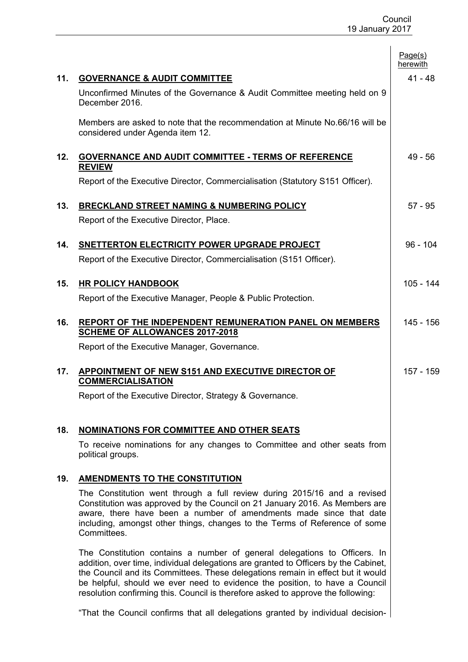|     |                                                                                                                                                                                                                                                                                                                                                                                                                        | Page(s)<br>herewith |
|-----|------------------------------------------------------------------------------------------------------------------------------------------------------------------------------------------------------------------------------------------------------------------------------------------------------------------------------------------------------------------------------------------------------------------------|---------------------|
| 11. | <b>GOVERNANCE &amp; AUDIT COMMITTEE</b>                                                                                                                                                                                                                                                                                                                                                                                | $41 - 48$           |
|     | Unconfirmed Minutes of the Governance & Audit Committee meeting held on 9<br>December 2016.                                                                                                                                                                                                                                                                                                                            |                     |
|     | Members are asked to note that the recommendation at Minute No.66/16 will be<br>considered under Agenda item 12.                                                                                                                                                                                                                                                                                                       |                     |
| 12. | <b>GOVERNANCE AND AUDIT COMMITTEE - TERMS OF REFERENCE</b><br><b>REVIEW</b>                                                                                                                                                                                                                                                                                                                                            | $49 - 56$           |
|     | Report of the Executive Director, Commercialisation (Statutory S151 Officer).                                                                                                                                                                                                                                                                                                                                          |                     |
| 13. | <b>BRECKLAND STREET NAMING &amp; NUMBERING POLICY</b>                                                                                                                                                                                                                                                                                                                                                                  | $57 - 95$           |
|     | Report of the Executive Director, Place.                                                                                                                                                                                                                                                                                                                                                                               |                     |
| 14. | SNETTERTON ELECTRICITY POWER UPGRADE PROJECT                                                                                                                                                                                                                                                                                                                                                                           | $96 - 104$          |
|     | Report of the Executive Director, Commercialisation (S151 Officer).                                                                                                                                                                                                                                                                                                                                                    |                     |
| 15. | <b>HR POLICY HANDBOOK</b>                                                                                                                                                                                                                                                                                                                                                                                              | 105 - 144           |
|     | Report of the Executive Manager, People & Public Protection.                                                                                                                                                                                                                                                                                                                                                           |                     |
| 16. | <b>REPORT OF THE INDEPENDENT REMUNERATION PANEL ON MEMBERS</b><br><b>SCHEME OF ALLOWANCES 2017-2018</b>                                                                                                                                                                                                                                                                                                                | 145 - 156           |
|     | Report of the Executive Manager, Governance.                                                                                                                                                                                                                                                                                                                                                                           |                     |
| 17. | APPOINTMENT OF NEW S151 AND EXECUTIVE DIRECTOR OF<br><b>COMMERCIALISATION</b>                                                                                                                                                                                                                                                                                                                                          | 157 - 159           |
|     | Report of the Executive Director, Strategy & Governance.                                                                                                                                                                                                                                                                                                                                                               |                     |
|     |                                                                                                                                                                                                                                                                                                                                                                                                                        |                     |
| 18. | <b>NOMINATIONS FOR COMMITTEE AND OTHER SEATS</b>                                                                                                                                                                                                                                                                                                                                                                       |                     |
|     | To receive nominations for any changes to Committee and other seats from<br>political groups.                                                                                                                                                                                                                                                                                                                          |                     |
| 19. | <b>AMENDMENTS TO THE CONSTITUTION</b>                                                                                                                                                                                                                                                                                                                                                                                  |                     |
|     | The Constitution went through a full review during 2015/16 and a revised<br>Constitution was approved by the Council on 21 January 2016. As Members are<br>aware, there have been a number of amendments made since that date<br>including, amongst other things, changes to the Terms of Reference of some<br>Committees.                                                                                             |                     |
|     | The Constitution contains a number of general delegations to Officers. In<br>addition, over time, individual delegations are granted to Officers by the Cabinet,<br>the Council and its Committees. These delegations remain in effect but it would<br>be helpful, should we ever need to evidence the position, to have a Council<br>resolution confirming this. Council is therefore asked to approve the following: |                     |
|     | "That the Council confirms that all delegations granted by individual decision-                                                                                                                                                                                                                                                                                                                                        |                     |